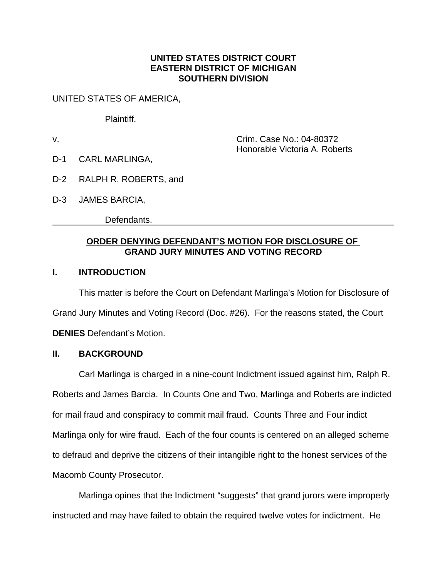#### **UNITED STATES DISTRICT COURT EASTERN DISTRICT OF MICHIGAN SOUTHERN DIVISION**

UNITED STATES OF AMERICA,

Plaintiff,

v. Crim. Case No.: 04-80372 Honorable Victoria A. Roberts

D-1 CARL MARLINGA,

- D-2 RALPH R. ROBERTS, and
- D-3 JAMES BARCIA,

Defendants.

### **ORDER DENYING DEFENDANT'S MOTION FOR DISCLOSURE OF GRAND JURY MINUTES AND VOTING RECORD**

#### **I. INTRODUCTION**

This matter is before the Court on Defendant Marlinga's Motion for Disclosure of Grand Jury Minutes and Voting Record (Doc. #26). For the reasons stated, the Court **DENIES** Defendant's Motion.

#### **II. BACKGROUND**

Carl Marlinga is charged in a nine-count Indictment issued against him, Ralph R. Roberts and James Barcia. In Counts One and Two, Marlinga and Roberts are indicted for mail fraud and conspiracy to commit mail fraud. Counts Three and Four indict Marlinga only for wire fraud. Each of the four counts is centered on an alleged scheme to defraud and deprive the citizens of their intangible right to the honest services of the Macomb County Prosecutor.

Marlinga opines that the Indictment "suggests" that grand jurors were improperly instructed and may have failed to obtain the required twelve votes for indictment. He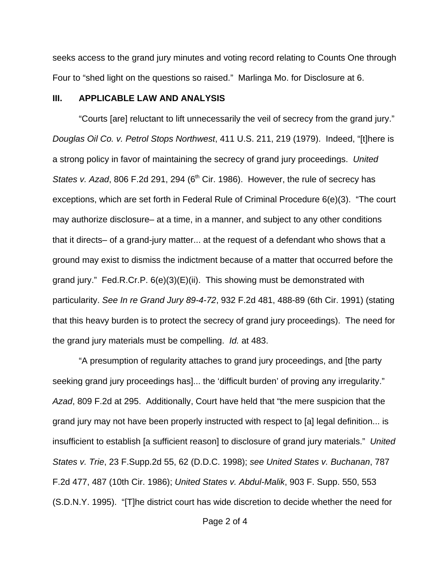seeks access to the grand jury minutes and voting record relating to Counts One through Four to "shed light on the questions so raised." Marlinga Mo. for Disclosure at 6.

#### **III. APPLICABLE LAW AND ANALYSIS**

"Courts [are] reluctant to lift unnecessarily the veil of secrecy from the grand jury." *Douglas Oil Co. v. Petrol Stops Northwest*, 411 U.S. 211, 219 (1979). Indeed, "[t]here is a strong policy in favor of maintaining the secrecy of grand jury proceedings. *United States v. Azad, 806 F.2d 291, 294 (6<sup>th</sup> Cir. 1986). However, the rule of secrecy has* exceptions, which are set forth in Federal Rule of Criminal Procedure 6(e)(3). "The court may authorize disclosure– at a time, in a manner, and subject to any other conditions that it directs– of a grand-jury matter... at the request of a defendant who shows that a ground may exist to dismiss the indictment because of a matter that occurred before the grand jury." Fed.R.Cr.P. 6(e)(3)(E)(ii). This showing must be demonstrated with particularity. *See In re Grand Jury 89-4-72*, 932 F.2d 481, 488-89 (6th Cir. 1991) (stating that this heavy burden is to protect the secrecy of grand jury proceedings). The need for the grand jury materials must be compelling. *Id.* at 483.

"A presumption of regularity attaches to grand jury proceedings, and [the party seeking grand jury proceedings has]... the 'difficult burden' of proving any irregularity." *Azad*, 809 F.2d at 295. Additionally, Court have held that "the mere suspicion that the grand jury may not have been properly instructed with respect to [a] legal definition... is insufficient to establish [a sufficient reason] to disclosure of grand jury materials." *United States v. Trie*, 23 F.Supp.2d 55, 62 (D.D.C. 1998); *see United States v. Buchanan*, 787 F.2d 477, 487 (10th Cir. 1986); *United States v. Abdul-Malik*, 903 F. Supp. 550, 553 (S.D.N.Y. 1995). "[T]he district court has wide discretion to decide whether the need for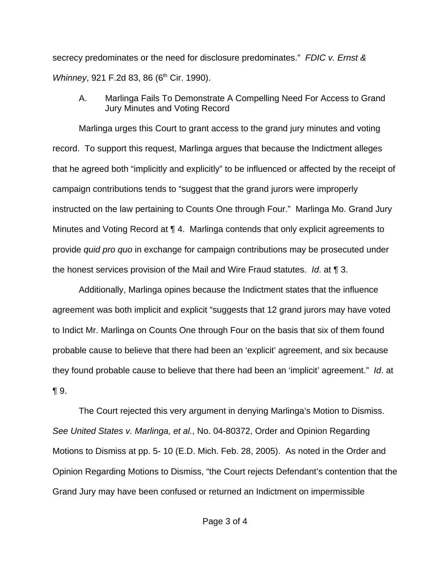secrecy predominates or the need for disclosure predominates." *FDIC v. Ernst & Whinney*, 921 F.2d 83, 86 (6<sup>th</sup> Cir. 1990).

A. Marlinga Fails To Demonstrate A Compelling Need For Access to Grand Jury Minutes and Voting Record

Marlinga urges this Court to grant access to the grand jury minutes and voting record. To support this request, Marlinga argues that because the Indictment alleges that he agreed both "implicitly and explicitly" to be influenced or affected by the receipt of campaign contributions tends to "suggest that the grand jurors were improperly instructed on the law pertaining to Counts One through Four." Marlinga Mo. Grand Jury Minutes and Voting Record at ¶ 4. Marlinga contends that only explicit agreements to provide *quid pro quo* in exchange for campaign contributions may be prosecuted under the honest services provision of the Mail and Wire Fraud statutes. *Id*. at ¶ 3.

Additionally, Marlinga opines because the Indictment states that the influence agreement was both implicit and explicit "suggests that 12 grand jurors may have voted to Indict Mr. Marlinga on Counts One through Four on the basis that six of them found probable cause to believe that there had been an 'explicit' agreement, and six because they found probable cause to believe that there had been an 'implicit' agreement." *Id*. at ¶ 9.

The Court rejected this very argument in denying Marlinga's Motion to Dismiss. *See United States v. Marlinga, et al.*, No. 04-80372, Order and Opinion Regarding Motions to Dismiss at pp. 5- 10 (E.D. Mich. Feb. 28, 2005). As noted in the Order and Opinion Regarding Motions to Dismiss, "the Court rejects Defendant's contention that the Grand Jury may have been confused or returned an Indictment on impermissible